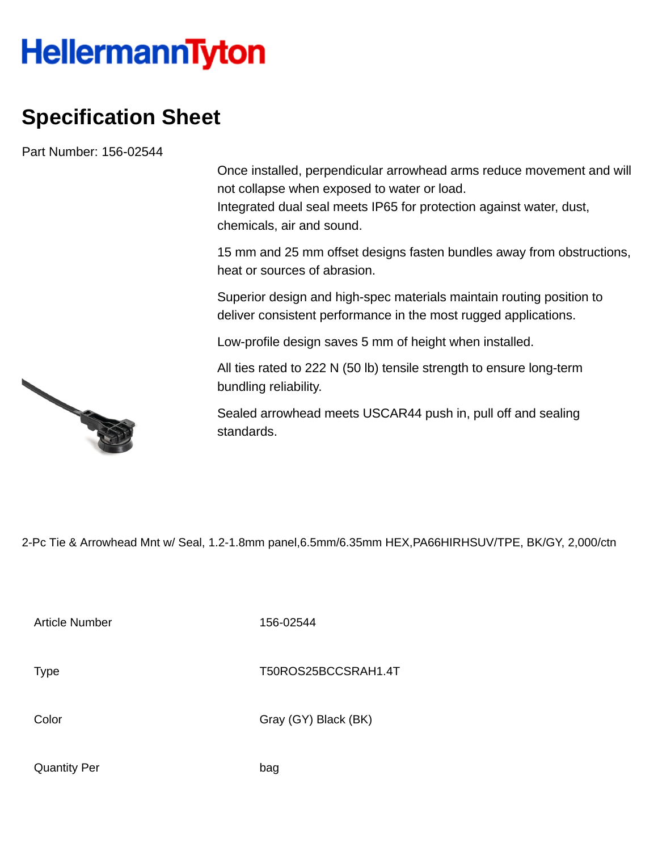## **HellermannTyton**

## **Specification Sheet**

Part Number: 156-02544

Once installed, perpendicular arrowhead arms reduce movement and will not collapse when exposed to water or load. Integrated dual seal meets IP65 for protection against water, dust, chemicals, air and sound.

15 mm and 25 mm offset designs fasten bundles away from obstructions, heat or sources of abrasion.

Superior design and high-spec materials maintain routing position to deliver consistent performance in the most rugged applications.

Low-profile design saves 5 mm of height when installed.

All ties rated to 222 N (50 lb) tensile strength to ensure long-term bundling reliability.

Sealed arrowhead meets USCAR44 push in, pull off and sealing standards.

2-Pc Tie & Arrowhead Mnt w/ Seal, 1.2-1.8mm panel,6.5mm/6.35mm HEX,PA66HIRHSUV/TPE, BK/GY, 2,000/ctn

Article Number 156-02544

Type Type T50ROS25BCCSRAH1.4T

Color Gray (GY) Black (BK)

Quantity Per bag

No. of Concession, National Concession, National Concession, National Concession, National Concession, National Concession, National Concession, National Concession, National Concession, National Concession, National Conce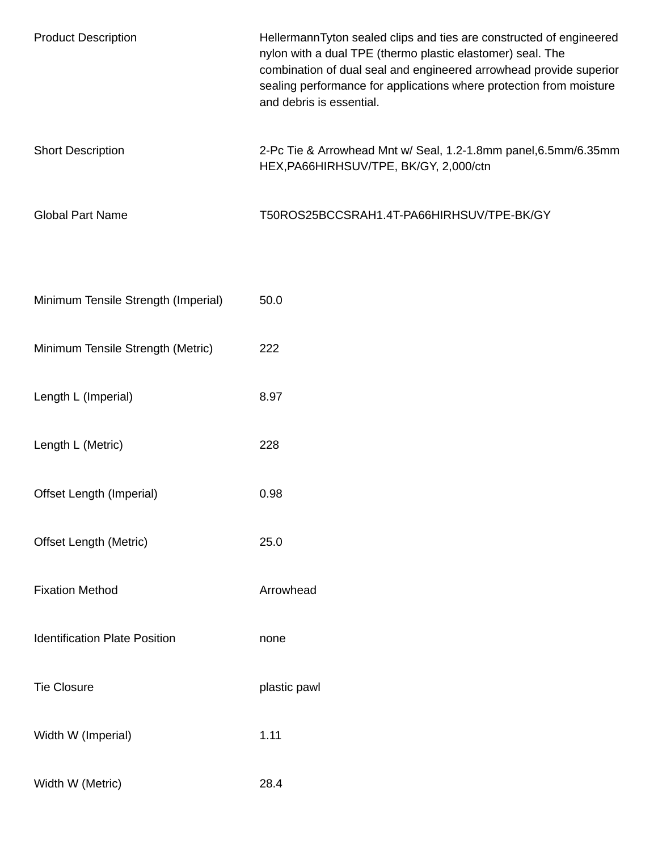| <b>Product Description</b>           | HellermannTyton sealed clips and ties are constructed of engineered<br>nylon with a dual TPE (thermo plastic elastomer) seal. The<br>combination of dual seal and engineered arrowhead provide superior<br>sealing performance for applications where protection from moisture<br>and debris is essential. |
|--------------------------------------|------------------------------------------------------------------------------------------------------------------------------------------------------------------------------------------------------------------------------------------------------------------------------------------------------------|
| <b>Short Description</b>             | 2-Pc Tie & Arrowhead Mnt w/ Seal, 1.2-1.8mm panel, 6.5mm/6.35mm<br>HEX, PA66HIRHSUV/TPE, BK/GY, 2,000/ctn                                                                                                                                                                                                  |
| <b>Global Part Name</b>              | T50ROS25BCCSRAH1.4T-PA66HIRHSUV/TPE-BK/GY                                                                                                                                                                                                                                                                  |
| Minimum Tensile Strength (Imperial)  | 50.0                                                                                                                                                                                                                                                                                                       |
| Minimum Tensile Strength (Metric)    | 222                                                                                                                                                                                                                                                                                                        |
| Length L (Imperial)                  | 8.97                                                                                                                                                                                                                                                                                                       |
| Length L (Metric)                    | 228                                                                                                                                                                                                                                                                                                        |
| Offset Length (Imperial)             | 0.98                                                                                                                                                                                                                                                                                                       |
| Offset Length (Metric)               | 25.0                                                                                                                                                                                                                                                                                                       |
| <b>Fixation Method</b>               | Arrowhead                                                                                                                                                                                                                                                                                                  |
| <b>Identification Plate Position</b> | none                                                                                                                                                                                                                                                                                                       |
| <b>Tie Closure</b>                   | plastic pawl                                                                                                                                                                                                                                                                                               |
| Width W (Imperial)                   | 1.11                                                                                                                                                                                                                                                                                                       |
| Width W (Metric)                     | 28.4                                                                                                                                                                                                                                                                                                       |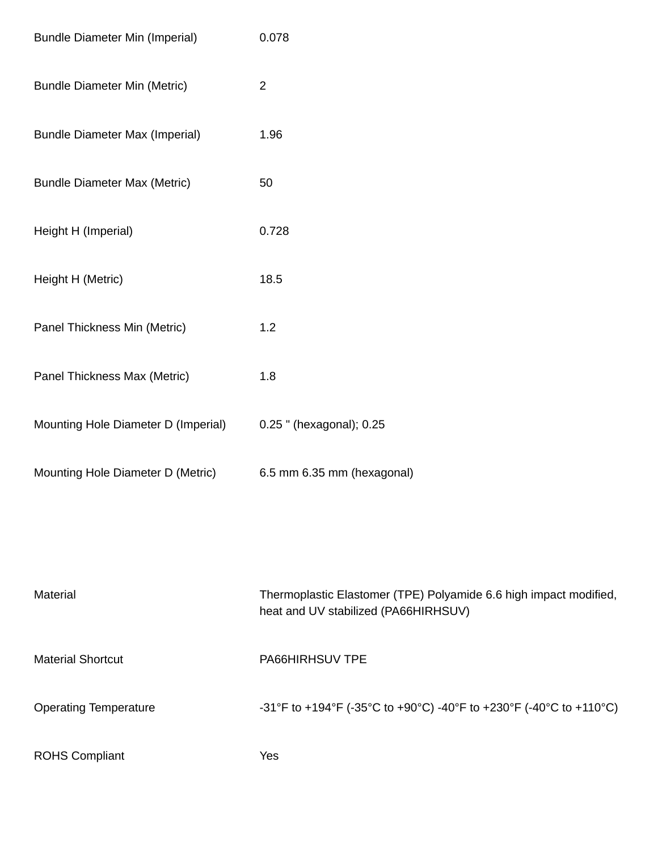| <b>Bundle Diameter Min (Imperial)</b> | 0.078                                                                                                     |
|---------------------------------------|-----------------------------------------------------------------------------------------------------------|
| <b>Bundle Diameter Min (Metric)</b>   | $\overline{2}$                                                                                            |
| <b>Bundle Diameter Max (Imperial)</b> | 1.96                                                                                                      |
| <b>Bundle Diameter Max (Metric)</b>   | 50                                                                                                        |
| Height H (Imperial)                   | 0.728                                                                                                     |
| Height H (Metric)                     | 18.5                                                                                                      |
| Panel Thickness Min (Metric)          | 1.2                                                                                                       |
| Panel Thickness Max (Metric)          | 1.8                                                                                                       |
| Mounting Hole Diameter D (Imperial)   | 0.25 " (hexagonal); 0.25                                                                                  |
| Mounting Hole Diameter D (Metric)     | 6.5 mm 6.35 mm (hexagonal)                                                                                |
|                                       |                                                                                                           |
| Material                              | Thermoplastic Elastomer (TPE) Polyamide 6.6 high impact modified,<br>heat and UV stabilized (PA66HIRHSUV) |
| <b>Material Shortcut</b>              | PA66HIRHSUV TPE                                                                                           |
| <b>Operating Temperature</b>          | -31°F to +194°F (-35°C to +90°C) -40°F to +230°F (-40°C to +110°C)                                        |
| <b>ROHS Compliant</b>                 | Yes                                                                                                       |